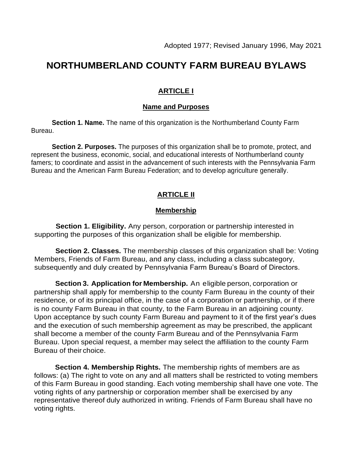# **NORTHUMBERLAND COUNTY FARM BUREAU BYLAWS**

## **ARTICLE I**

## **Name and Purposes**

**Section 1. Name.** The name of this organization is the Northumberland County Farm Bureau.

**Section 2. Purposes.** The purposes of this organization shall be to promote, protect, and represent the business, economic, social, and educational interests of Northumberland county famers; to coordinate and assist in the advancement of such interests with the Pennsylvania Farm Bureau and the American Farm Bureau Federation; and to develop agriculture generally.

# **ARTICLE II**

### **Membership**

**Section 1. Eligibility.** Any person, corporation or partnership interested in supporting the purposes of this organization shall be eligible for membership.

**Section 2. Classes.** The membership classes of this organization shall be: Voting Members, Friends of Farm Bureau, and any class, including a class subcategory, subsequently and duly created by Pennsylvania Farm Bureau's Board of Directors.

**Section 3. Application for Membership.** An eligible person, corporation or partnership shall apply for membership to the county Farm Bureau in the county of their residence, or of its principal office, in the case of a corporation or partnership, or if there is no county Farm Bureau in that county, to the Farm Bureau in an adjoining county. Upon acceptance by such county Farm Bureau and payment to it of the first year's dues and the execution of such membership agreement as may be prescribed, the applicant shall become a member of the county Farm Bureau and of the Pennsylvania Farm Bureau. Upon special request, a member may select the affiliation to the county Farm Bureau of their choice.

**Section 4. Membership Rights.** The membership rights of members are as follows: (a) The right to vote on any and all matters shall be restricted to voting members of this Farm Bureau in good standing. Each voting membership shall have one vote. The voting rights of any partnership or corporation member shall be exercised by any representative thereof duly authorized in writing. Friends of Farm Bureau shall have no voting rights.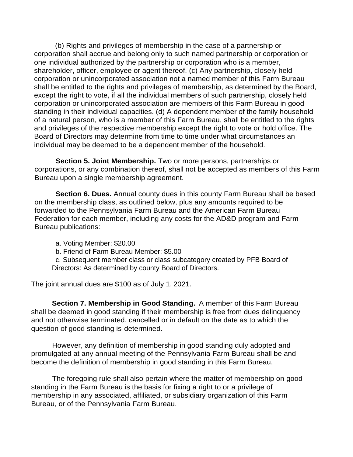(b) Rights and privileges of membership in the case of a partnership or corporation shall accrue and belong only to such named partnership or corporation or one individual authorized by the partnership or corporation who is a member, shareholder, officer, employee or agent thereof. (c) Any partnership, closely held corporation or unincorporated association not a named member of this Farm Bureau shall be entitled to the rights and privileges of membership, as determined by the Board, except the right to vote, if all the individual members of such partnership, closely held corporation or unincorporated association are members of this Farm Bureau in good standing in their individual capacities. (d) A dependent member of the family household of a natural person, who is a member of this Farm Bureau, shall be entitled to the rights and privileges of the respective membership except the right to vote or hold office. The Board of Directors may determine from time to time under what circumstances an individual may be deemed to be a dependent member of the household.

**Section 5. Joint Membership.** Two or more persons, partnerships or corporations, or any combination thereof, shall not be accepted as members of this Farm Bureau upon a single membership agreement.

**Section 6. Dues.** Annual county dues in this county Farm Bureau shall be based on the membership class, as outlined below, plus any amounts required to be forwarded to the Pennsylvania Farm Bureau and the American Farm Bureau Federation for each member, including any costs for the AD&D program and Farm Bureau publications:

- a. Voting Member: \$20.00
- b. Friend of Farm Bureau Member: \$5.00

c. Subsequent member class or class subcategory created by PFB Board of Directors: As determined by county Board of Directors.

The joint annual dues are \$100 as of July 1, 2021.

**Section 7. Membership in Good Standing.** A member of this Farm Bureau shall be deemed in good standing if their membership is free from dues delinquency and not otherwise terminated, cancelled or in default on the date as to which the question of good standing is determined.

However, any definition of membership in good standing duly adopted and promulgated at any annual meeting of the Pennsylvania Farm Bureau shall be and become the definition of membership in good standing in this Farm Bureau.

The foregoing rule shall also pertain where the matter of membership on good standing in the Farm Bureau is the basis for fixing a right to or a privilege of membership in any associated, affiliated, or subsidiary organization of this Farm Bureau, or of the Pennsylvania Farm Bureau.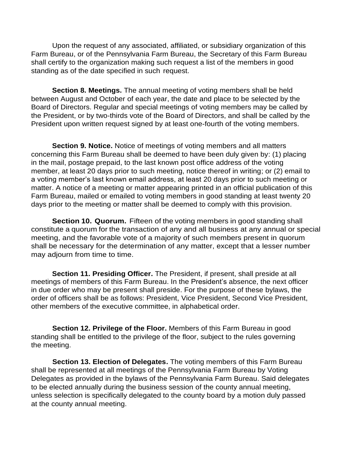Upon the request of any associated, affiliated, or subsidiary organization of this Farm Bureau, or of the Pennsylvania Farm Bureau, the Secretary of this Farm Bureau shall certify to the organization making such request a list of the members in good standing as of the date specified in such request.

**Section 8. Meetings.** The annual meeting of voting members shall be held between August and October of each year, the date and place to be selected by the Board of Directors. Regular and special meetings of voting members may be called by the President, or by two-thirds vote of the Board of Directors, and shall be called by the President upon written request signed by at least one-fourth of the voting members.

**Section 9. Notice.** Notice of meetings of voting members and all matters concerning this Farm Bureau shall be deemed to have been duly given by: (1) placing in the mail, postage prepaid, to the last known post office address of the voting member, at least 20 days prior to such meeting, notice thereof in writing; or (2) email to a voting member's last known email address, at least 20 days prior to such meeting or matter. A notice of a meeting or matter appearing printed in an official publication of this Farm Bureau, mailed or emailed to voting members in good standing at least twenty 20 days prior to the meeting or matter shall be deemed to comply with this provision.

**Section 10. Quorum.** Fifteen of the voting members in good standing shall constitute a quorum for the transaction of any and all business at any annual or special meeting, and the favorable vote of a majority of such members present in quorum shall be necessary for the determination of any matter, except that a lesser number may adjourn from time to time.

**Section 11. Presiding Officer.** The President, if present, shall preside at all meetings of members of this Farm Bureau. In the President's absence, the next officer in due order who may be present shall preside. For the purpose of these bylaws, the order of officers shall be as follows: President, Vice President, Second Vice President, other members of the executive committee, in alphabetical order.

**Section 12. Privilege of the Floor.** Members of this Farm Bureau in good standing shall be entitled to the privilege of the floor, subject to the rules governing the meeting.

**Section 13. Election of Delegates.** The voting members of this Farm Bureau shall be represented at all meetings of the Pennsylvania Farm Bureau by Voting Delegates as provided in the bylaws of the Pennsylvania Farm Bureau. Said delegates to be elected annually during the business session of the county annual meeting, unless selection is specifically delegated to the county board by a motion duly passed at the county annual meeting.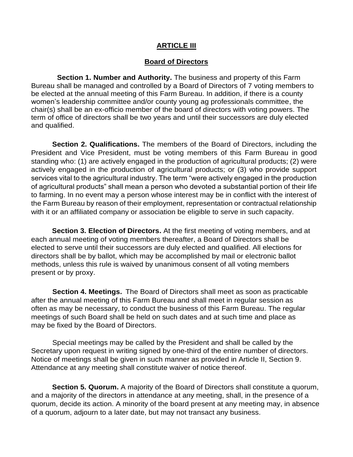#### **ARTICLE III**

#### **Board of Directors**

**Section 1. Number and Authority.** The business and property of this Farm Bureau shall be managed and controlled by a Board of Directors of 7 voting members to be elected at the annual meeting of this Farm Bureau. In addition, if there is a county women's leadership committee and/or county young ag professionals committee, the chair(s) shall be an ex-officio member of the board of directors with voting powers. The term of office of directors shall be two years and until their successors are duly elected and qualified.

**Section 2. Qualifications.** The members of the Board of Directors, including the President and Vice President, must be voting members of this Farm Bureau in good standing who: (1) are actively engaged in the production of agricultural products; (2) were actively engaged in the production of agricultural products; or (3) who provide support services vital to the agricultural industry. The term "were actively engaged in the production of agricultural products" shall mean a person who devoted a substantial portion of their life to farming. In no event may a person whose interest may be in conflict with the interest of the Farm Bureau by reason of their employment, representation or contractual relationship with it or an affiliated company or association be eligible to serve in such capacity.

**Section 3. Election of Directors.** At the first meeting of voting members, and at each annual meeting of voting members thereafter, a Board of Directors shall be elected to serve until their successors are duly elected and qualified. All elections for directors shall be by ballot, which may be accomplished by mail or electronic ballot methods, unless this rule is waived by unanimous consent of all voting members present or by proxy.

**Section 4. Meetings.** The Board of Directors shall meet as soon as practicable after the annual meeting of this Farm Bureau and shall meet in regular session as often as may be necessary, to conduct the business of this Farm Bureau. The regular meetings of such Board shall be held on such dates and at such time and place as may be fixed by the Board of Directors.

Special meetings may be called by the President and shall be called by the Secretary upon request in writing signed by one-third of the entire number of directors. Notice of meetings shall be given in such manner as provided in Article II, Section 9. Attendance at any meeting shall constitute waiver of notice thereof.

**Section 5. Quorum.** A majority of the Board of Directors shall constitute a quorum, and a majority of the directors in attendance at any meeting, shall, in the presence of a quorum, decide its action. A minority of the board present at any meeting may, in absence of a quorum, adjourn to a later date, but may not transact any business.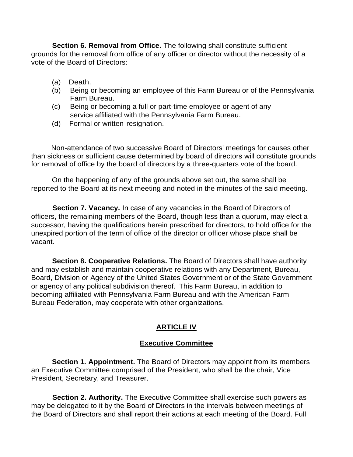**Section 6. Removal from Office.** The following shall constitute sufficient grounds for the removal from office of any officer or director without the necessity of a vote of the Board of Directors:

- (a) Death.
- (b) Being or becoming an employee of this Farm Bureau or of the Pennsylvania Farm Bureau.
- (c) Being or becoming a full or part-time employee or agent of any service affiliated with the Pennsylvania Farm Bureau.
- (d) Formal or written resignation.

 Non-attendance of two successive Board of Directors' meetings for causes other than sickness or sufficient cause determined by board of directors will constitute grounds for removal of office by the board of directors by a three-quarters vote of the board.

On the happening of any of the grounds above set out, the same shall be reported to the Board at its next meeting and noted in the minutes of the said meeting.

**Section 7. Vacancy.** In case of any vacancies in the Board of Directors of officers, the remaining members of the Board, though less than a quorum, may elect a successor, having the qualifications herein prescribed for directors, to hold office for the unexpired portion of the term of office of the director or officer whose place shall be vacant.

**Section 8. Cooperative Relations.** The Board of Directors shall have authority and may establish and maintain cooperative relations with any Department, Bureau, Board, Division or Agency of the United States Government or of the State Government or agency of any political subdivision thereof. This Farm Bureau, in addition to becoming affiliated with Pennsylvania Farm Bureau and with the American Farm Bureau Federation, may cooperate with other organizations.

## **ARTICLE IV**

#### **Executive Committee**

**Section 1. Appointment.** The Board of Directors may appoint from its members an Executive Committee comprised of the President, who shall be the chair, Vice President, Secretary, and Treasurer.

**Section 2. Authority.** The Executive Committee shall exercise such powers as may be delegated to it by the Board of Directors in the intervals between meetings of the Board of Directors and shall report their actions at each meeting of the Board. Full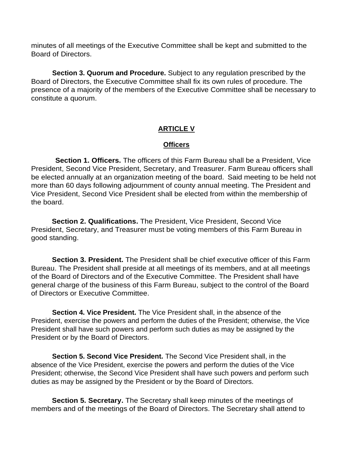minutes of all meetings of the Executive Committee shall be kept and submitted to the Board of Directors.

**Section 3. Quorum and Procedure.** Subject to any regulation prescribed by the Board of Directors, the Executive Committee shall fix its own rules of procedure. The presence of a majority of the members of the Executive Committee shall be necessary to constitute a quorum.

## **ARTICLE V**

#### **Officers**

**Section 1. Officers.** The officers of this Farm Bureau shall be a President, Vice President, Second Vice President, Secretary, and Treasurer. Farm Bureau officers shall be elected annually at an organization meeting of the board. Said meeting to be held not more than 60 days following adjournment of county annual meeting. The President and Vice President, Second Vice President shall be elected from within the membership of the board.

**Section 2. Qualifications.** The President, Vice President, Second Vice President, Secretary, and Treasurer must be voting members of this Farm Bureau in good standing.

**Section 3. President.** The President shall be chief executive officer of this Farm Bureau. The President shall preside at all meetings of its members, and at all meetings of the Board of Directors and of the Executive Committee. The President shall have general charge of the business of this Farm Bureau, subject to the control of the Board of Directors or Executive Committee.

**Section 4. Vice President.** The Vice President shall, in the absence of the President, exercise the powers and perform the duties of the President; otherwise, the Vice President shall have such powers and perform such duties as may be assigned by the President or by the Board of Directors.

**Section 5. Second Vice President.** The Second Vice President shall, in the absence of the Vice President, exercise the powers and perform the duties of the Vice President; otherwise, the Second Vice President shall have such powers and perform such duties as may be assigned by the President or by the Board of Directors.

**Section 5. Secretary.** The Secretary shall keep minutes of the meetings of members and of the meetings of the Board of Directors. The Secretary shall attend to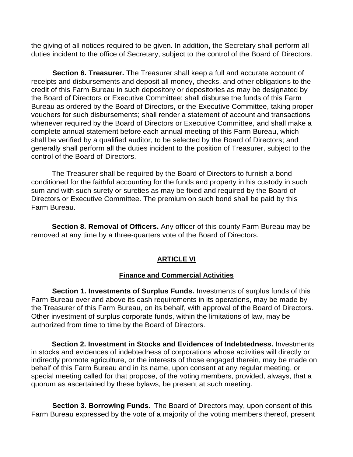the giving of all notices required to be given. In addition, the Secretary shall perform all duties incident to the office of Secretary, subject to the control of the Board of Directors.

**Section 6. Treasurer.** The Treasurer shall keep a full and accurate account of receipts and disbursements and deposit all money, checks, and other obligations to the credit of this Farm Bureau in such depository or depositories as may be designated by the Board of Directors or Executive Committee; shall disburse the funds of this Farm Bureau as ordered by the Board of Directors, or the Executive Committee, taking proper vouchers for such disbursements; shall render a statement of account and transactions whenever required by the Board of Directors or Executive Committee, and shall make a complete annual statement before each annual meeting of this Farm Bureau, which shall be verified by a qualified auditor, to be selected by the Board of Directors; and generally shall perform all the duties incident to the position of Treasurer, subject to the control of the Board of Directors.

The Treasurer shall be required by the Board of Directors to furnish a bond conditioned for the faithful accounting for the funds and property in his custody in such sum and with such surety or sureties as may be fixed and required by the Board of Directors or Executive Committee. The premium on such bond shall be paid by this Farm Bureau.

**Section 8. Removal of Officers.** Any officer of this county Farm Bureau may be removed at any time by a three-quarters vote of the Board of Directors.

# **ARTICLE VI**

# **Finance and Commercial Activities**

**Section 1. Investments of Surplus Funds.** Investments of surplus funds of this Farm Bureau over and above its cash requirements in its operations, may be made by the Treasurer of this Farm Bureau, on its behalf, with approval of the Board of Directors. Other investment of surplus corporate funds, within the limitations of law, may be authorized from time to time by the Board of Directors.

**Section 2. Investment in Stocks and Evidences of Indebtedness.** Investments in stocks and evidences of indebtedness of corporations whose activities will directly or indirectly promote agriculture, or the interests of those engaged therein, may be made on behalf of this Farm Bureau and in its name, upon consent at any regular meeting, or special meeting called for that propose, of the voting members, provided, always, that a quorum as ascertained by these bylaws, be present at such meeting.

**Section 3. Borrowing Funds.** The Board of Directors may, upon consent of this Farm Bureau expressed by the vote of a majority of the voting members thereof, present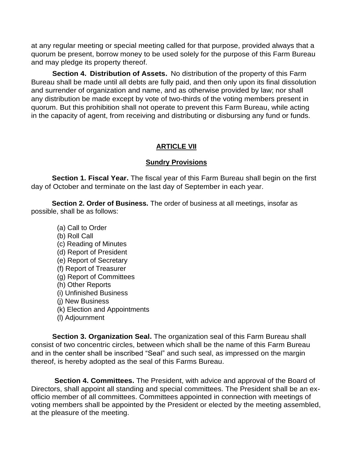at any regular meeting or special meeting called for that purpose, provided always that a quorum be present, borrow money to be used solely for the purpose of this Farm Bureau and may pledge its property thereof.

**Section 4. Distribution of Assets.** No distribution of the property of this Farm Bureau shall be made until all debts are fully paid, and then only upon its final dissolution and surrender of organization and name, and as otherwise provided by law; nor shall any distribution be made except by vote of two-thirds of the voting members present in quorum. But this prohibition shall not operate to prevent this Farm Bureau, while acting in the capacity of agent, from receiving and distributing or disbursing any fund or funds.

### **ARTICLE VII**

#### **Sundry Provisions**

**Section 1. Fiscal Year.** The fiscal year of this Farm Bureau shall begin on the first day of October and terminate on the last day of September in each year.

**Section 2. Order of Business.** The order of business at all meetings, insofar as possible, shall be as follows:

- (a) Call to Order
- (b) Roll Call
- (c) Reading of Minutes
- (d) Report of President
- (e) Report of Secretary
- (f) Report of Treasurer
- (g) Report of Committees
- (h) Other Reports
- (i) Unfinished Business
- (j) New Business
- (k) Election and Appointments
- (l) Adjournment

**Section 3. Organization Seal.** The organization seal of this Farm Bureau shall consist of two concentric circles, between which shall be the name of this Farm Bureau and in the center shall be inscribed "Seal" and such seal, as impressed on the margin thereof, is hereby adopted as the seal of this Farms Bureau.

**Section 4. Committees.** The President, with advice and approval of the Board of Directors, shall appoint all standing and special committees. The President shall be an exofficio member of all committees. Committees appointed in connection with meetings of voting members shall be appointed by the President or elected by the meeting assembled, at the pleasure of the meeting.